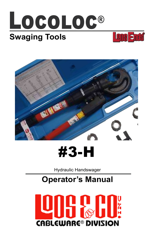







Hydraulic Handswager

# **Operator's Manual**

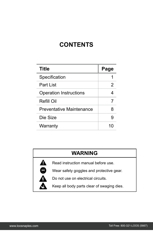## **CONTENTS**

| <b>Title</b>                  | Page |
|-------------------------------|------|
| Specification                 |      |
| Part List                     | 2    |
| <b>Operation Instructions</b> |      |
| Refill Oil                    | 7    |
| Preventative Maintenance      | 8    |
| Die Size                      |      |
| Warranty                      | 10   |

### **WARNING**



Read instruction manual before use.

Wear safety goggles and protective gear.

Do not use on electrical circuits.

Keep all body parts clear of swaging dies.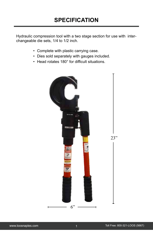Hydraulic compression tool with a two stage section for use with interchangeable die sets, 1/4 to 1/2 inch.

- Complete with plastic carrying case.
- Dies sold separately with gauges included.
- Head rotates 180° for difficult situations.

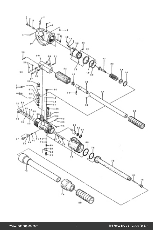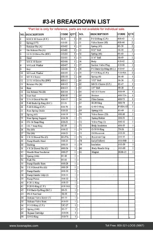### **#3-H BREAKDOWN LIST**

#### \*Part list is only for reference, parts are not available for individual sale.

|                         | <b>NO. DESCRIPTION</b>       | <b>CODE</b> QTY |                         | NO. | <b>DESCRIPTION</b>        | <b>CODE</b>   | <b>QTY</b>     |
|-------------------------|------------------------------|-----------------|-------------------------|-----|---------------------------|---------------|----------------|
| ī                       | $M10 X 10$ Screw (F.P.)      | $16-41$         | 1                       | 50  | $P-8$ O-Ring (C.P.)       | 410-43        | 1              |
| $\overline{c}$          | Spring (177)                 | 410-01          | $\overline{2}$          | 51  | Valve Screw (10)          | 410-44        | $\overline{c}$ |
| $\overline{\mathbf{3}}$ | Retainer Pin (A)             | 410-02          | $\mathbf{I}$            | 52  | Spring (67)               | 85-39         | $\overline{c}$ |
| 4                       | Die Release Pin (A)          | 410-03          | $\mathbf{1}$            | 53  | 9/32" Ball                | 16-40         | $\overline{c}$ |
| 5                       | 2.5 X 25 Drive Pin (BW)      | 410-04          | ī                       | 54  | Spring (66)               | 85-40         | $\,$ 1         |
| 6                       | Head                         | 410-05          | 1                       | 55  | 3/16" Ball                | 16-49         | $\mathbf{1}$   |
|                         | M4 X 10 Screw                | 410-06          | $\mathbf{I}$            | 56  | Body                      | 410-45        | 1              |
|                         | M4 Lock Washer               | 410-07          | $\mathbf{I}$            | 57  | <b>Suction Valve Plug</b> | 410-46        | $\mathbf{I}$   |
| 9                       | Key                          | 410-08          | $\mathbf{I}$            | 58  | P-4 Back-Up Ring (B.C.)   | 410-47        | $\overline{c}$ |
| 10                      | M5 Lock Washer               | 410-09          | $\overline{c}$          | 59  | $P-4$ O-Ring (C.P.)       | 410-48A       | $\overline{c}$ |
| $\overline{11}$         | M5 X 6 Screw                 | 410-10          | $\overline{2}$          | 60  | Spring (4)                | $16-48$       | 1              |
| 12                      | 2.5 X 14 Drive Pin (BW)      | $410 - 11$      | $\mathbf{1}$            | 61  | 7/32" Ball                | $16 - 26$     | 3              |
| 13                      | Retainer Pin (B)             | 410-12          | $\mathbf{1}$            | 62  | M4 X 4 Screw (F.P.)       | 85-47         | ı              |
| 14                      | Ram                          | 410-13          | $\mathbf{1}$            | 63  | $1/8$ " Ball              | $40 - 20$     | $\bf{1}$       |
| 15                      | Die Release Pin (B)          | 410-14          | $\mathbf{I}$            | 64  | M5 X 8 Screw              | 410-49        | $\mathbf{I}$   |
| 16                      | Dust Seal                    | 430-03          | $\overline{1}$          | 65  | Strainer                  | 410-72A       | ī              |
| 18                      | $2.5 \times 8$ Dowel Pin (B) | 410-17          | $\mathbf{1}$            | 66  | Filter Screen             | 410-73        | $\mathbf{1}$   |
| 19                      | P-40 Back-Up Ring (B.C.)     | $22 - 16$       | $\mathbf{I}$            | 67  | SI-20 Ring                | 410-74        | $\mathbf{I}$   |
| 20                      | $P-40$ O-Ring (C.P.)         | 410-70          | ı                       | 68  | G-40 O-Ring               | P100A-05      | 1              |
| 21                      | Ram Spring Guide             | 410-18          | 1                       | 69  | Spring (43)               | 85-49         | $\overline{2}$ |
| 22                      | Spring (65)                  | 410-19          | I                       | 70  | Valve Screw (22)          | 410-80        | Ī              |
| 23                      | Ram Spring Support           | 410-20          | ī                       | 71  | <b>Spring Holder</b>      | 410-51        | $\bf{1}$       |
| 24                      | OV-36 Snap Ring              | 410-21          | 1                       | 72  | Valve Plug (1)            | 410-52        | $\mathbf{I}$   |
| 25                      | CE-7 Snap Ring               | 40-49           | $\overline{\mathbf{c}}$ | 73  | <b>Body Insulation</b>    | 410-53        | $\overline{1}$ |
| 26                      | Pin (85)                     | 410-22          | ı                       | 74  | G-30 O-Ring               | 75-26         | $\,$ 1 $\,$    |
| 27                      | Pin (84)                     | 410-23          | 1                       | 75  | Oil Reservoir             | 410-54        | 1              |
| 28                      | 5 X 32 Dowel Pin (G)         | 85-57A          | 1                       | 76  | Reservoir Cap             | 410-55        | $\mathbf{1}$   |
| 29                      | Pump Handle Head             | 410-24          | $\mathbf{I}$            | 78  | Ass'y(Yellow)             | 410-58B       | $\mathbf{1}$   |
| 30                      | <b>Bushing</b>               | 410-25          | $\overline{4}$          | 79  | Insulation                | 410-59        | $\mathbf{I}$   |
| 31                      | $4 X 26$ Dowel Pin $(G)$     | 410-26          | $\mathbf{I}$            | 80  | <b>Body Handle Grip</b>   | 410-60        | $\mathbf{I}$   |
| 32                      | Handle Head Insulation       | 410-27          | 1                       | 81  | Magnet                    | <b>ROB-25</b> | 1              |
| 33                      |                              | 85-60           | $\mathbf{I}$            |     |                           |               |                |
| 34                      | Spring (146)                 | 85-61           | 1                       |     |                           |               |                |
|                         | Push Pin                     | 410-28          | $\mathbf{1}$            |     |                           |               |                |
| 35                      | Pump Handle Stem             | 410-29          | $\mathbf{1}$            |     |                           |               |                |
| 36                      | 3 X 8 Dowel Pin (G)          |                 |                         |     |                           |               |                |
| 37                      | Pump Handle                  | 410-30          | $\mathbf{1}$            |     |                           |               |                |
| 38                      | Pump Handle Grip (2)         | 410-31          | $\mathbf{1}$            |     |                           |               |                |
| 39                      | <b>Pump Piston</b>           | 410-32          | $\mathbf{1}$            |     |                           |               |                |
| 40                      | $P-20$ X-Ring                | 410-33          | $\mathbf{1}$            |     |                           |               |                |
| 41                      | P-20 O-Ring (C.P.)           | 410-34A         | 1                       |     |                           |               |                |
| 42                      | P-8 Back-Up Ring (B.C.)      | 85-33           | $\mathbf{I}$            |     |                           |               |                |
| 43                      | PS-8 Pent Seal               | $16 - 44$       | 1                       |     |                           |               |                |
| 44                      | Release Valve Screw (7)      | 85-35           | 1                       |     |                           |               |                |
| 45                      | Release Valve Stem           | 410-35          | ī                       |     |                           |               |                |
| 46                      | $P-3$ O-Ring (C.P.)          | $UC-27$         | I.                      |     |                           |               |                |
| 47                      | Spring (144)                 | 85-37           | F                       |     |                           |               |                |
| 48                      | <b>Bypass Cartridge</b>      | 410-36          | ı                       |     |                           |               |                |
| 49                      | S-9 O-Ring                   | 410-71          | ı                       |     |                           |               |                |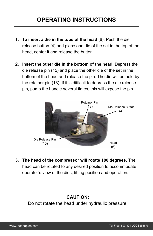- **1. To insert a die in the tope of the head** (6). Push the die release button (4) and place one die of the set in the top of the head, center it and release the button.
- **2. Insert the other die in the bottom of the head.** Depress the die release pin (15) and place the other die of the set in the bottom of the head and release the pin. The die will be held by the retainer pin (13). If it is difficult to depress the die release pin, pump the handle several times, this will expose the pin.



**3. The head of the compressor will rotate 180 degrees.** The head can be rotated to any desired position to accommodate operator's view of the dies, fitting position and operation.

### **CAUTION:**

Do not rotate the head under hydraulic pressure.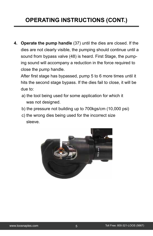## **OPERATING INSTRUCTIONS (CONT.)**

**4. Operate the pump handle** (37) until the dies are closed. If the dies are not clearly visible, the pumping should continue until a sound from bypass valve (48) is heard. First Stage, the pumping sound will accompany a reduction in the force required to close the pump handle.

After first stage has bypassed, pump 5 to 6 more times until it hits the second stage bypass. If the dies fail to close, it will be due to:

- a) the tool being used for some application for which it was not designed.
- b) the pressure not building up to 700kgs/cm (10,000 psi)
- c) the wrong dies being used for the incorrect size sleeve.

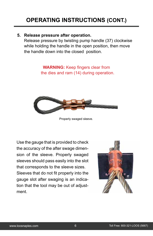## **OPERATING INSTRUCTIONS (CONT.)**

#### **5. Release pressure after operation.**

Release pressure by twisting pump handle (37) clockwise while holding the handle in the open position, then move the handle down into the closed position.

> **WARNING:** Keep fingers clear from the dies and ram (14) during operation.



Properly swaged sleeve.

Use the gauge that is provided to check the accuracy of the after swage dimension of the sleeve. Properly swaged sleeves should pass easily into the slot that corresponds to the sleeve sizes. Sleeves that do not fit properly into the gauge slot after swaging is an indication that the tool may be out of adjustment.

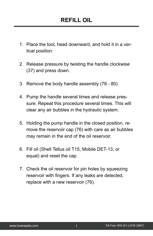- 1. Place the tool, head downward, and hold it in a vertical position.
- 2. Release pressure by twisting the handle clockwise (37) and press down.
- 3. Remove the body handle assembly (78 80)
- 4. Pump the handle several times and release pressure. Repeat this procedure several times. This will clear any air bubbles in the hydraulic system.
- 5. Holding the pump handle in the closed position, remove the reservoir cap (76) with care as air bubbles may remain in the end of the oil reservoir.
- 6. Fill oil (Shell Tellus oil T15, Mobile DET-13, or equal) and reset the cap.
- 7. Check the oil reservoir for pin holes by squeezing reservoir with fingers. If any leaks are detected, replace with a new reservoir (76).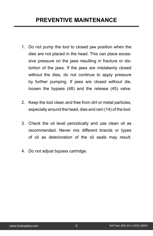- 1. Do not pump the tool to closed jaw position when the dies are not placed in the head. This can place excessive pressure on the jaws resulting in fracture or distortion of the jaws. If the jaws are mistakenly closed without the dies, do not continue to apply pressure by further pumping. If jaws are closed without die, loosen the bypass (48) and the release (45) valve.
- 2. Keep the tool clean and free from dirt or metal particles, especially around the head, dies and ram (14) of the tool.
- 3. Check the oil level periodically and use clean oil as recommended. Never mix different brands or types of oil as deterioration of the oil seals may result.
- 4. Do not adjust bypass cartridge.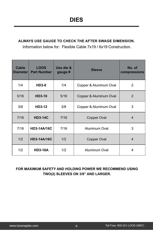#### **ALWAYS USE GAUGE TO CHECK THE AFTER SWAGE DIMENSION.**

Information below for: Flexible Cable 7x19 / 6x19 Construction.

| Cable<br><b>Diameter</b> | <b>LOOS</b><br><b>Part Number</b> | Use die &<br>gauge # | <b>Sleeve</b>          | No. of<br>compressions |
|--------------------------|-----------------------------------|----------------------|------------------------|------------------------|
| 1/4                      | <b>HD3-8</b>                      | 1/4                  | Copper & Aluminum Oval | 2                      |
| 5/16                     | <b>HD3-10</b>                     | 5/16                 | Copper & Aluminum Oval | 2                      |
| 3/8                      | HD3-12                            | 3/8                  | Copper & Aluminum Oval | 3                      |
| 7/16                     | <b>HD3-14C</b>                    | 7/16                 | Copper Oval            | $\overline{4}$         |
| 7/16                     | <b>HD3-14A/16C</b>                | 7/16                 | Aluminum Oval          | 3                      |
| 1/2                      | <b>HD3-14A/16C</b>                | 1/2                  | Copper Oval            | $\overline{4}$         |
| 1/2                      | <b>HD3-16A</b>                    | 1/2                  | Aluminum Oval          | 4                      |

#### **FOR MAXIMUM SAFETY AND HOLDING POWER WE RECOMMEND USING TWO(2) SLEEVES ON 3/8" AND LARGER.**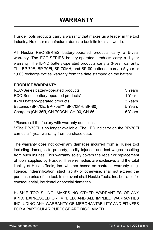Huskie Tools products carry a warranty that makes us a leader in the tool industry. No other manufacturer dares to back its tools as we do.

All Huskie REC-SERIES battery-operated products carry a 5-year warranty. The ECO-SERIES battery-operated products carry a 1-year warranty. The IL-ND battery-operated products carry a 3-year warranty. The BP-70E, BP-70EI, BP-70MH, and BP-80 batteries carry a 5-year or 1,000 recharge cycles warranty from the date stamped on the battery.

#### **PRODUCT WARRANTY**

| REC-Series battery-operated products          | 5 Years |
|-----------------------------------------------|---------|
| ECO-Series battery-operated products*         | 1 Year  |
| IL-ND battery-operated products               | 3 Years |
| Batteries (BP-70E, BP-70El**, BP-70MH, BP-80) | 5 Years |
| Chargers (CH-35R, CH-70DCH, CH-90, CH-86      | 5 Years |

\*Please call the factory with warranty questions.

\*\*The BP-70EI is no longer available. The LED indicator on the BP-70EI carries a 1-year warranty from purchase date.

The warranty does not cover any damages incurred from a Huskie tool including damages to property, bodily injuries, and lost wages resulting from such injuries. This warranty solely covers the repair or replacement of tools supplied by Huskie. These remedies are exclusive, and the total liability of Huskie Tools, Inc. whether based on contract, warranty, negligence, indemnification, strict liability or otherwise, shall not exceed the purchase price of the tool. In no event shall Huskie Tools, Inc. be liable for consequential, incidental or special damages.

HUSKIE TOOLS, INC. MAKES NO OTHER WARRANTIES OF ANY KIND, EXPRESSED OR IMPLIED, AND ALL IMPLIED WARRANTIES INCLUDING ANY WARRANTY OF MERCHANTABILITY AND FITNESS FOR A PARTICULAR PURPOSE ARE DISCLAIMED.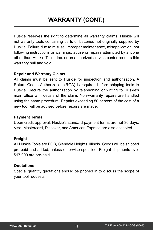### **WARRANTY (CONT.)**

Huskie reserves the right to determine all warranty claims. Huskie will not waranty tools containing parts or batteries not originally supplied by Huskie. Failure due to misuse, improper maintenance, misapplication, not following instructions or warnings, abuse or repairs attempted by anyone other than Huskie Tools, Inc. or an authorized service center renders this warranty null and void.

#### **Repair and Warranty Claims**

All claims must be sent to Huskie for inspection and authorization. A Return Goods Authorization (RGA) is required before shipping tools to Huskie. Secure the authorization by telephoning or writing to Huskie's main office with details of the claim. Non-warranty repairs are handled using the same procedure. Repairs exceeding 50 percent of the cost of a new tool will be advised before repairs are made.

#### **Payment Terms**

Upon credit approval, Huskie's standard payment terms are net-30 days. Visa, Mastercard, Discover, and American Express are also accepted.

#### **Freight**

All Huskie Tools are FOB, Glendale Heights, Illinois. Goods will be shipped pre-paid and added, unless otherwise specified. Freight shipments over \$17,000 are pre-paid.

#### **Quotations**

Special quantity quotations should be phoned in to discuss the scope of your tool requests.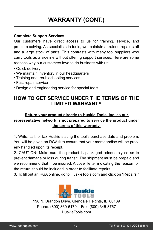### **WARRANTY (CONT.)**

#### **Complete Support Services**

Our customers have direct access to us for training, service, and problem solving. As specialists in tools, we maintain a trained repair staff and a large stock of parts. This contrasts with many tool suppliers who carry tools as a sideline without offering support services. Here are some reasons why our customers love to do business with us:

- Quick delivery
- We maintain inventory in our headquarters
- Training and troubleshooting services
- Fast repair service
- Design and engineering service for special tools

### **HOW TO GET SERVICE UNDER THE TERMS OF THE LIMITED WARRANTY**

#### **Return your product directly to Huskie Tools, Inc. as our representative network is not prepared to service the product under the terms of this warranty.**

1. Write, call, or fax Huskie stating the tool's purchase date and problem. You will be given an RGA # to assure that your merchandise will be properly handled upon its receipt.

2. CAUTION: Make sure the product is packaged adequately so as to prevent damage or loss during transit. The shipment must be prepaid and we recommend that it be insured. A cover letter indicating the reason for the return should be included in order to facilitate repairs.

3. To fill out an RGA online, go to HuskieTools.com and click on "Repairs."



198 N. Brandon Drive, Glendale Heights, IL 60139 Phone: (800) 860-6170 Fax: (800) 345-3767 HuskieTools.com